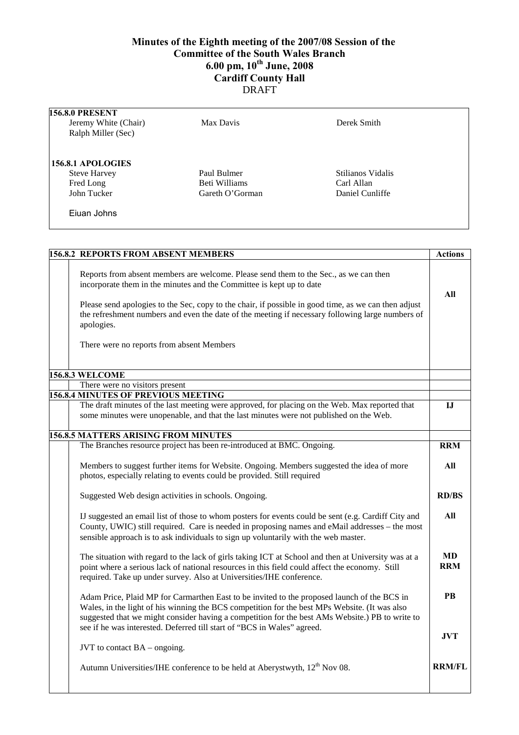## **Minutes of the Eighth meeting of the 2007/08 Session of the Committee of the South Wales Branch 6.00 pm, 10th June, 2008 Cardiff County Hall**  DRAFT

| <b>156.8.0 PRESENT</b><br>Jeremy White (Chair)<br>Ralph Miller (Sec) | Max Davis       | Derek Smith       |
|----------------------------------------------------------------------|-----------------|-------------------|
| 156.8.1 APOLOGIES                                                    |                 |                   |
| <b>Steve Harvey</b>                                                  | Paul Bulmer     | Stilianos Vidalis |
| Fred Long                                                            | Beti Williams   | Carl Allan        |
| John Tucker                                                          | Gareth O'Gorman | Daniel Cunliffe   |

|                                                                                                                                                                                                                                                                                                                                                                                                               | <b>156.8.2 REPORTS FROM ABSENT MEMBERS</b>                                                                                                                                                                                                                                                   | <b>Actions</b>          |
|---------------------------------------------------------------------------------------------------------------------------------------------------------------------------------------------------------------------------------------------------------------------------------------------------------------------------------------------------------------------------------------------------------------|----------------------------------------------------------------------------------------------------------------------------------------------------------------------------------------------------------------------------------------------------------------------------------------------|-------------------------|
|                                                                                                                                                                                                                                                                                                                                                                                                               | Reports from absent members are welcome. Please send them to the Sec., as we can then<br>incorporate them in the minutes and the Committee is kept up to date                                                                                                                                |                         |
|                                                                                                                                                                                                                                                                                                                                                                                                               | Please send apologies to the Sec, copy to the chair, if possible in good time, as we can then adjust<br>the refreshment numbers and even the date of the meeting if necessary following large numbers of<br>apologies.                                                                       |                         |
|                                                                                                                                                                                                                                                                                                                                                                                                               | There were no reports from absent Members                                                                                                                                                                                                                                                    |                         |
|                                                                                                                                                                                                                                                                                                                                                                                                               | <b>156.8.3 WELCOME</b>                                                                                                                                                                                                                                                                       |                         |
|                                                                                                                                                                                                                                                                                                                                                                                                               | There were no visitors present<br><b>156.8.4 MINUTES OF PREVIOUS MEETING</b>                                                                                                                                                                                                                 |                         |
|                                                                                                                                                                                                                                                                                                                                                                                                               | The draft minutes of the last meeting were approved, for placing on the Web. Max reported that                                                                                                                                                                                               | IJ                      |
|                                                                                                                                                                                                                                                                                                                                                                                                               | some minutes were unopenable, and that the last minutes were not published on the Web.                                                                                                                                                                                                       |                         |
|                                                                                                                                                                                                                                                                                                                                                                                                               | <b>156.8.5 MATTERS ARISING FROM MINUTES</b>                                                                                                                                                                                                                                                  |                         |
|                                                                                                                                                                                                                                                                                                                                                                                                               | The Branches resource project has been re-introduced at BMC. Ongoing.                                                                                                                                                                                                                        | <b>RRM</b>              |
|                                                                                                                                                                                                                                                                                                                                                                                                               | Members to suggest further items for Website. Ongoing. Members suggested the idea of more<br>photos, especially relating to events could be provided. Still required                                                                                                                         | All                     |
|                                                                                                                                                                                                                                                                                                                                                                                                               | Suggested Web design activities in schools. Ongoing.                                                                                                                                                                                                                                         | <b>RD/BS</b>            |
|                                                                                                                                                                                                                                                                                                                                                                                                               | IJ suggested an email list of those to whom posters for events could be sent (e.g. Cardiff City and<br>County, UWIC) still required. Care is needed in proposing names and eMail addresses – the most<br>sensible approach is to ask individuals to sign up voluntarily with the web master. | All                     |
|                                                                                                                                                                                                                                                                                                                                                                                                               | The situation with regard to the lack of girls taking ICT at School and then at University was at a<br>point where a serious lack of national resources in this field could affect the economy. Still<br>required. Take up under survey. Also at Universities/IHE conference.                | <b>MD</b><br><b>RRM</b> |
| Adam Price, Plaid MP for Carmarthen East to be invited to the proposed launch of the BCS in<br>Wales, in the light of his winning the BCS competition for the best MPs Website. (It was also<br>suggested that we might consider having a competition for the best AMs Website.) PB to write to<br>see if he was interested. Deferred till start of "BCS in Wales" agreed.<br>JVT to contact $BA - ongoing$ . |                                                                                                                                                                                                                                                                                              | <b>PB</b>               |
|                                                                                                                                                                                                                                                                                                                                                                                                               |                                                                                                                                                                                                                                                                                              | <b>JVT</b>              |
|                                                                                                                                                                                                                                                                                                                                                                                                               |                                                                                                                                                                                                                                                                                              |                         |
|                                                                                                                                                                                                                                                                                                                                                                                                               | Autumn Universities/IHE conference to be held at Aberystwyth, 12 <sup>th</sup> Nov 08.                                                                                                                                                                                                       | <b>RRM/FL</b>           |
|                                                                                                                                                                                                                                                                                                                                                                                                               |                                                                                                                                                                                                                                                                                              |                         |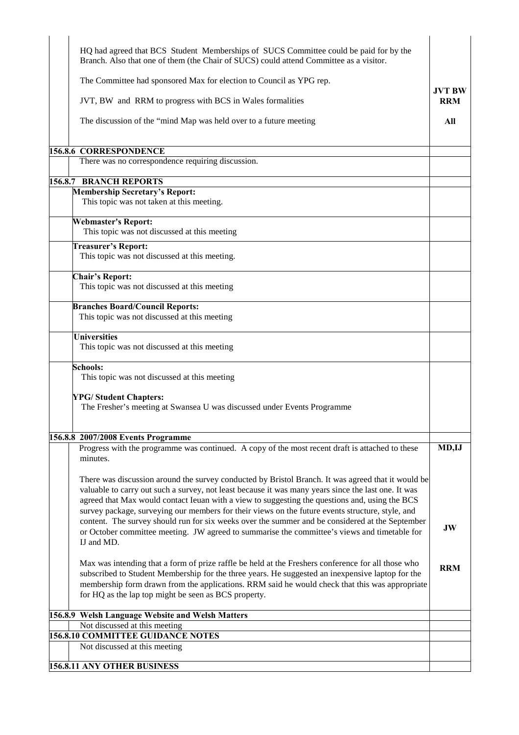| Branch. Also that one of them (the Chair of SUCS) could attend Committee as a visitor.<br>The Committee had sponsored Max for election to Council as YPG rep.<br><b>JVT BW</b><br>JVT, BW and RRM to progress with BCS in Wales formalities<br><b>RRM</b><br>The discussion of the "mind Map was held over to a future meeting<br>All<br><b>156.8.6 CORRESPONDENCE</b><br>There was no correspondence requiring discussion.<br><b>Membership Secretary's Report:</b><br>This topic was not taken at this meeting.<br><b>Webmaster's Report:</b><br>This topic was not discussed at this meeting<br><b>Treasurer's Report:</b><br>This topic was not discussed at this meeting.<br><b>Chair's Report:</b><br>This topic was not discussed at this meeting<br><b>Branches Board/Council Reports:</b><br>This topic was not discussed at this meeting<br><b>Universities</b><br>This topic was not discussed at this meeting<br><b>Schools:</b><br>This topic was not discussed at this meeting<br><b>YPG/Student Chapters:</b><br>The Fresher's meeting at Swansea U was discussed under Events Programme<br>Progress with the programme was continued. A copy of the most recent draft is attached to these<br>minutes.<br>There was discussion around the survey conducted by Bristol Branch. It was agreed that it would be<br>valuable to carry out such a survey, not least because it was many years since the last one. It was<br>agreed that Max would contact Ieuan with a view to suggesting the questions and, using the BCS<br>survey package, surveying our members for their views on the future events structure, style, and<br>content. The survey should run for six weeks over the summer and be considered at the September<br>JW<br>or October committee meeting. JW agreed to summarise the committee's views and timetable for<br>IJ and MD.<br>Max was intending that a form of prize raffle be held at the Freshers conference for all those who<br><b>RRM</b><br>subscribed to Student Membership for the three years. He suggested an inexpensive laptop for the<br>membership form drawn from the applications. RRM said he would check that this was appropriate<br>for HQ as the lap top might be seen as BCS property.<br>Not discussed at this meeting<br>Not discussed at this meeting | HQ had agreed that BCS Student Memberships of SUCS Committee could be paid for by the |       |
|----------------------------------------------------------------------------------------------------------------------------------------------------------------------------------------------------------------------------------------------------------------------------------------------------------------------------------------------------------------------------------------------------------------------------------------------------------------------------------------------------------------------------------------------------------------------------------------------------------------------------------------------------------------------------------------------------------------------------------------------------------------------------------------------------------------------------------------------------------------------------------------------------------------------------------------------------------------------------------------------------------------------------------------------------------------------------------------------------------------------------------------------------------------------------------------------------------------------------------------------------------------------------------------------------------------------------------------------------------------------------------------------------------------------------------------------------------------------------------------------------------------------------------------------------------------------------------------------------------------------------------------------------------------------------------------------------------------------------------------------------------------------------------------------------------------------------------------------------------------------------------------------------------------------------------------------------------------------------------------------------------------------------------------------------------------------------------------------------------------------------------------------------------------------------------------------------------------------------------------------------------------------------------------------------------------------|---------------------------------------------------------------------------------------|-------|
|                                                                                                                                                                                                                                                                                                                                                                                                                                                                                                                                                                                                                                                                                                                                                                                                                                                                                                                                                                                                                                                                                                                                                                                                                                                                                                                                                                                                                                                                                                                                                                                                                                                                                                                                                                                                                                                                                                                                                                                                                                                                                                                                                                                                                                                                                                                      |                                                                                       |       |
|                                                                                                                                                                                                                                                                                                                                                                                                                                                                                                                                                                                                                                                                                                                                                                                                                                                                                                                                                                                                                                                                                                                                                                                                                                                                                                                                                                                                                                                                                                                                                                                                                                                                                                                                                                                                                                                                                                                                                                                                                                                                                                                                                                                                                                                                                                                      |                                                                                       |       |
|                                                                                                                                                                                                                                                                                                                                                                                                                                                                                                                                                                                                                                                                                                                                                                                                                                                                                                                                                                                                                                                                                                                                                                                                                                                                                                                                                                                                                                                                                                                                                                                                                                                                                                                                                                                                                                                                                                                                                                                                                                                                                                                                                                                                                                                                                                                      |                                                                                       |       |
|                                                                                                                                                                                                                                                                                                                                                                                                                                                                                                                                                                                                                                                                                                                                                                                                                                                                                                                                                                                                                                                                                                                                                                                                                                                                                                                                                                                                                                                                                                                                                                                                                                                                                                                                                                                                                                                                                                                                                                                                                                                                                                                                                                                                                                                                                                                      |                                                                                       |       |
|                                                                                                                                                                                                                                                                                                                                                                                                                                                                                                                                                                                                                                                                                                                                                                                                                                                                                                                                                                                                                                                                                                                                                                                                                                                                                                                                                                                                                                                                                                                                                                                                                                                                                                                                                                                                                                                                                                                                                                                                                                                                                                                                                                                                                                                                                                                      |                                                                                       |       |
|                                                                                                                                                                                                                                                                                                                                                                                                                                                                                                                                                                                                                                                                                                                                                                                                                                                                                                                                                                                                                                                                                                                                                                                                                                                                                                                                                                                                                                                                                                                                                                                                                                                                                                                                                                                                                                                                                                                                                                                                                                                                                                                                                                                                                                                                                                                      |                                                                                       |       |
|                                                                                                                                                                                                                                                                                                                                                                                                                                                                                                                                                                                                                                                                                                                                                                                                                                                                                                                                                                                                                                                                                                                                                                                                                                                                                                                                                                                                                                                                                                                                                                                                                                                                                                                                                                                                                                                                                                                                                                                                                                                                                                                                                                                                                                                                                                                      | <b>156.8.7 BRANCH REPORTS</b>                                                         |       |
|                                                                                                                                                                                                                                                                                                                                                                                                                                                                                                                                                                                                                                                                                                                                                                                                                                                                                                                                                                                                                                                                                                                                                                                                                                                                                                                                                                                                                                                                                                                                                                                                                                                                                                                                                                                                                                                                                                                                                                                                                                                                                                                                                                                                                                                                                                                      |                                                                                       |       |
|                                                                                                                                                                                                                                                                                                                                                                                                                                                                                                                                                                                                                                                                                                                                                                                                                                                                                                                                                                                                                                                                                                                                                                                                                                                                                                                                                                                                                                                                                                                                                                                                                                                                                                                                                                                                                                                                                                                                                                                                                                                                                                                                                                                                                                                                                                                      |                                                                                       |       |
|                                                                                                                                                                                                                                                                                                                                                                                                                                                                                                                                                                                                                                                                                                                                                                                                                                                                                                                                                                                                                                                                                                                                                                                                                                                                                                                                                                                                                                                                                                                                                                                                                                                                                                                                                                                                                                                                                                                                                                                                                                                                                                                                                                                                                                                                                                                      |                                                                                       |       |
|                                                                                                                                                                                                                                                                                                                                                                                                                                                                                                                                                                                                                                                                                                                                                                                                                                                                                                                                                                                                                                                                                                                                                                                                                                                                                                                                                                                                                                                                                                                                                                                                                                                                                                                                                                                                                                                                                                                                                                                                                                                                                                                                                                                                                                                                                                                      |                                                                                       |       |
|                                                                                                                                                                                                                                                                                                                                                                                                                                                                                                                                                                                                                                                                                                                                                                                                                                                                                                                                                                                                                                                                                                                                                                                                                                                                                                                                                                                                                                                                                                                                                                                                                                                                                                                                                                                                                                                                                                                                                                                                                                                                                                                                                                                                                                                                                                                      |                                                                                       |       |
|                                                                                                                                                                                                                                                                                                                                                                                                                                                                                                                                                                                                                                                                                                                                                                                                                                                                                                                                                                                                                                                                                                                                                                                                                                                                                                                                                                                                                                                                                                                                                                                                                                                                                                                                                                                                                                                                                                                                                                                                                                                                                                                                                                                                                                                                                                                      |                                                                                       |       |
|                                                                                                                                                                                                                                                                                                                                                                                                                                                                                                                                                                                                                                                                                                                                                                                                                                                                                                                                                                                                                                                                                                                                                                                                                                                                                                                                                                                                                                                                                                                                                                                                                                                                                                                                                                                                                                                                                                                                                                                                                                                                                                                                                                                                                                                                                                                      |                                                                                       |       |
|                                                                                                                                                                                                                                                                                                                                                                                                                                                                                                                                                                                                                                                                                                                                                                                                                                                                                                                                                                                                                                                                                                                                                                                                                                                                                                                                                                                                                                                                                                                                                                                                                                                                                                                                                                                                                                                                                                                                                                                                                                                                                                                                                                                                                                                                                                                      |                                                                                       |       |
|                                                                                                                                                                                                                                                                                                                                                                                                                                                                                                                                                                                                                                                                                                                                                                                                                                                                                                                                                                                                                                                                                                                                                                                                                                                                                                                                                                                                                                                                                                                                                                                                                                                                                                                                                                                                                                                                                                                                                                                                                                                                                                                                                                                                                                                                                                                      | 156.8.8 2007/2008 Events Programme                                                    |       |
|                                                                                                                                                                                                                                                                                                                                                                                                                                                                                                                                                                                                                                                                                                                                                                                                                                                                                                                                                                                                                                                                                                                                                                                                                                                                                                                                                                                                                                                                                                                                                                                                                                                                                                                                                                                                                                                                                                                                                                                                                                                                                                                                                                                                                                                                                                                      |                                                                                       | MD,IJ |
|                                                                                                                                                                                                                                                                                                                                                                                                                                                                                                                                                                                                                                                                                                                                                                                                                                                                                                                                                                                                                                                                                                                                                                                                                                                                                                                                                                                                                                                                                                                                                                                                                                                                                                                                                                                                                                                                                                                                                                                                                                                                                                                                                                                                                                                                                                                      |                                                                                       |       |
|                                                                                                                                                                                                                                                                                                                                                                                                                                                                                                                                                                                                                                                                                                                                                                                                                                                                                                                                                                                                                                                                                                                                                                                                                                                                                                                                                                                                                                                                                                                                                                                                                                                                                                                                                                                                                                                                                                                                                                                                                                                                                                                                                                                                                                                                                                                      |                                                                                       |       |
|                                                                                                                                                                                                                                                                                                                                                                                                                                                                                                                                                                                                                                                                                                                                                                                                                                                                                                                                                                                                                                                                                                                                                                                                                                                                                                                                                                                                                                                                                                                                                                                                                                                                                                                                                                                                                                                                                                                                                                                                                                                                                                                                                                                                                                                                                                                      |                                                                                       |       |
|                                                                                                                                                                                                                                                                                                                                                                                                                                                                                                                                                                                                                                                                                                                                                                                                                                                                                                                                                                                                                                                                                                                                                                                                                                                                                                                                                                                                                                                                                                                                                                                                                                                                                                                                                                                                                                                                                                                                                                                                                                                                                                                                                                                                                                                                                                                      | 156.8.9 Welsh Language Website and Welsh Matters                                      |       |
|                                                                                                                                                                                                                                                                                                                                                                                                                                                                                                                                                                                                                                                                                                                                                                                                                                                                                                                                                                                                                                                                                                                                                                                                                                                                                                                                                                                                                                                                                                                                                                                                                                                                                                                                                                                                                                                                                                                                                                                                                                                                                                                                                                                                                                                                                                                      | <b>156.8.10 COMMITTEE GUIDANCE NOTES</b>                                              |       |
|                                                                                                                                                                                                                                                                                                                                                                                                                                                                                                                                                                                                                                                                                                                                                                                                                                                                                                                                                                                                                                                                                                                                                                                                                                                                                                                                                                                                                                                                                                                                                                                                                                                                                                                                                                                                                                                                                                                                                                                                                                                                                                                                                                                                                                                                                                                      | 156.8.11 ANY OTHER BUSINESS                                                           |       |